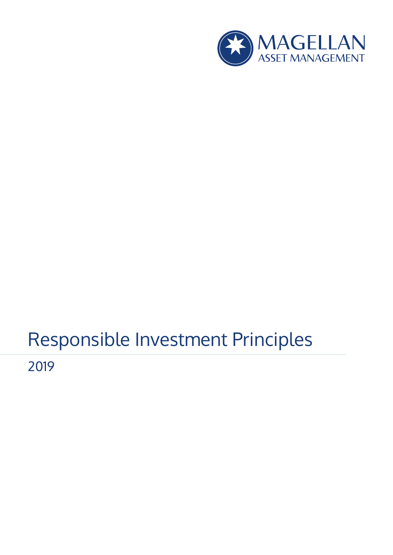

# Responsible Investment Principles

2019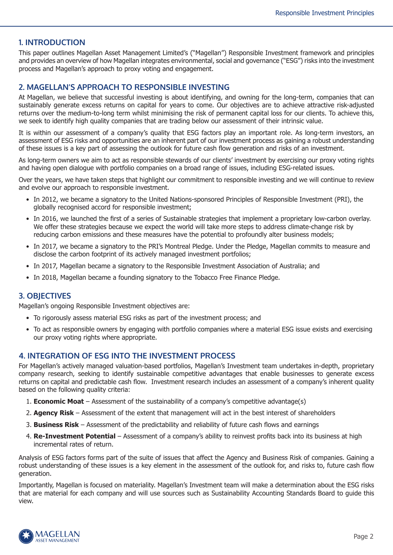## **1. INTRODUCTION**

This paper outlines Magellan Asset Management Limited's ("Magellan") Responsible Investment framework and principles and provides an overview of how Magellan integrates environmental, social and governance ("ESG") risks into the investment process and Magellan's approach to proxy voting and engagement.

## **2. MAGELLAN'S APPROACH TO RESPONSIBLE INVESTING**

At Magellan, we believe that successful investing is about identifying, and owning for the long-term, companies that can sustainably generate excess returns on capital for years to come. Our objectives are to achieve attractive risk-adjusted returns over the medium-to-long term whilst minimising the risk of permanent capital loss for our clients. To achieve this, we seek to identify high quality companies that are trading below our assessment of their intrinsic value.

It is within our assessment of a company's quality that ESG factors play an important role. As long-term investors, an assessment of ESG risks and opportunities are an inherent part of our investment process as gaining a robust understanding of these issues is a key part of assessing the outlook for future cash flow generation and risks of an investment.

As long-term owners we aim to act as responsible stewards of our clients' investment by exercising our proxy voting rights and having open dialogue with portfolio companies on a broad range of issues, including ESG-related issues.

Over the years, we have taken steps that highlight our commitment to responsible investing and we will continue to review and evolve our approach to responsible investment.

- In 2012, we became a signatory to the United Nations-sponsored Principles of Responsible Investment (PRI), the globally recognised accord for responsible investment;
- In 2016, we launched the first of a series of Sustainable strategies that implement a proprietary low-carbon overlay. We offer these strategies because we expect the world will take more steps to address climate-change risk by reducing carbon emissions and these measures have the potential to profoundly alter business models;
- In 2017, we became a signatory to the PRI's Montreal Pledge. Under the Pledge, Magellan commits to measure and disclose the carbon footprint of its actively managed investment portfolios;
- In 2017, Magellan became a signatory to the Responsible Investment Association of Australia; and
- In 2018, Magellan became a founding signatory to the Tobacco Free Finance Pledge.

# **3. OBJECTIVES**

Magellan's ongoing Responsible Investment objectives are:

- To rigorously assess material ESG risks as part of the investment process; and
- To act as responsible owners by engaging with portfolio companies where a material ESG issue exists and exercising our proxy voting rights where appropriate.

# **4. INTEGRATION OF ESG INTO THE INVESTMENT PROCESS**

For Magellan's actively managed valuation-based portfolios, Magellan's Investment team undertakes in-depth, proprietary company research, seeking to identify sustainable competitive advantages that enable businesses to generate excess returns on capital and predictable cash flow. Investment research includes an assessment of a company's inherent quality based on the following quality criteria:

- 1. **Economic Moat** Assessment of the sustainability of a company's competitive advantage(s)
- 2. **Agency Risk** Assessment of the extent that management will act in the best interest of shareholders
- 3. **Business Risk** Assessment of the predictability and reliability of future cash flows and earnings
- 4. **Re-Investment Potential** Assessment of a company's ability to reinvest profits back into its business at high incremental rates of return.

Analysis of ESG factors forms part of the suite of issues that affect the Agency and Business Risk of companies. Gaining a robust understanding of these issues is a key element in the assessment of the outlook for, and risks to, future cash flow generation.

Importantly, Magellan is focused on materiality. Magellan's Investment team will make a determination about the ESG risks that are material for each company and will use sources such as Sustainability Accounting Standards Board to guide this view.

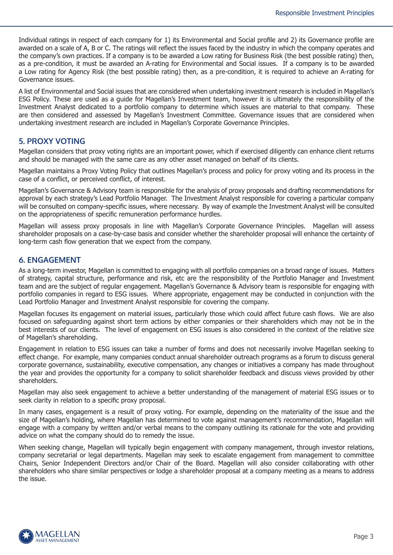Individual ratings in respect of each company for 1) its Environmental and Social profile and 2) its Governance profile are awarded on a scale of A, B or C. The ratings will reflect the issues faced by the industry in which the company operates and the company's own practices. If a company is to be awarded a Low rating for Business Risk (the best possible rating) then, as a pre-condition, it must be awarded an A-rating for Environmental and Social issues. If a company is to be awarded a Low rating for Agency Risk (the best possible rating) then, as a pre-condition, it is required to achieve an A-rating for Governance issues.

A list of Environmental and Social issues that are considered when undertaking investment research is included in Magellan's ESG Policy. These are used as a guide for Magellan's Investment team, however it is ultimately the responsibility of the Investment Analyst dedicated to a portfolio company to determine which issues are material to that company. These are then considered and assessed by Magellan's Investment Committee. Governance issues that are considered when undertaking investment research are included in Magellan's Corporate Governance Principles.

## **5. PROXY VOTING**

Magellan considers that proxy voting rights are an important power, which if exercised diligently can enhance client returns and should be managed with the same care as any other asset managed on behalf of its clients.

Magellan maintains a Proxy Voting Policy that outlines Magellan's process and policy for proxy voting and its process in the case of a conflict, or perceived conflict, of interest.

Magellan's Governance & Advisory team is responsible for the analysis of proxy proposals and drafting recommendations for approval by each strategy's Lead Portfolio Manager. The Investment Analyst responsible for covering a particular company will be consulted on company-specific issues, where necessary. By way of example the Investment Analyst will be consulted on the appropriateness of specific remuneration performance hurdles.

Magellan will assess proxy proposals in line with Magellan's Corporate Governance Principles. Magellan will assess shareholder proposals on a case-by-case basis and consider whether the shareholder proposal will enhance the certainty of long-term cash flow generation that we expect from the company.

### **6. ENGAGEMENT**

As a long-term investor, Magellan is committed to engaging with all portfolio companies on a broad range of issues. Matters of strategy, capital structure, performance and risk, etc are the responsibility of the Portfolio Manager and Investment team and are the subject of regular engagement. Magellan's Governance & Advisory team is responsible for engaging with portfolio companies in regard to ESG issues. Where appropriate, engagement may be conducted in conjunction with the Lead Portfolio Manager and Investment Analyst responsible for covering the company.

Magellan focuses its engagement on material issues, particularly those which could affect future cash flows. We are also focused on safeguarding against short term actions by either companies or their shareholders which may not be in the best interests of our clients. The level of engagement on ESG issues is also considered in the context of the relative size of Magellan's shareholding.

Engagement in relation to ESG issues can take a number of forms and does not necessarily involve Magellan seeking to effect change. For example, many companies conduct annual shareholder outreach programs as a forum to discuss general corporate governance, sustainability, executive compensation, any changes or initiatives a company has made throughout the year and provides the opportunity for a company to solicit shareholder feedback and discuss views provided by other shareholders.

Magellan may also seek engagement to achieve a better understanding of the management of material ESG issues or to seek clarity in relation to a specific proxy proposal.

In many cases, engagement is a result of proxy voting. For example, depending on the materiality of the issue and the size of Magellan's holding, where Magellan has determined to vote against management's recommendation, Magellan will engage with a company by written and/or verbal means to the company outlining its rationale for the vote and providing advice on what the company should do to remedy the issue.

When seeking change, Magellan will typically begin engagement with company management, through investor relations, company secretarial or legal departments. Magellan may seek to escalate engagement from management to committee Chairs, Senior Independent Directors and/or Chair of the Board. Magellan will also consider collaborating with other shareholders who share similar perspectives or lodge a shareholder proposal at a company meeting as a means to address the issue.

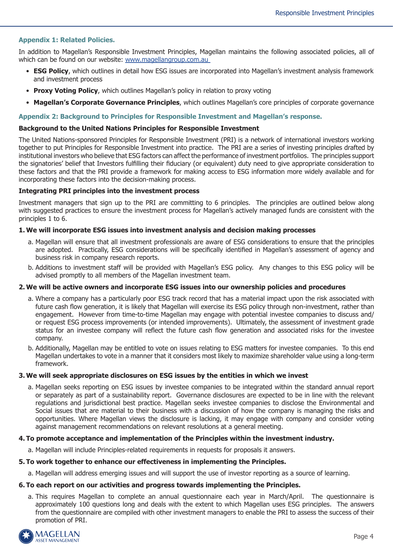#### **Appendix 1: Related Policies.**

In addition to Magellan's Responsible Investment Principles, Magellan maintains the following associated policies, all of which can be found on our website: www.magellangroup.com.au

- **ESG Policy**, which outlines in detail how ESG issues are incorporated into Magellan's investment analysis framework and investment process
- **Proxy Voting Policy**, which outlines Magellan's policy in relation to proxy voting
- **Magellan's Corporate Governance Principles**, which outlines Magellan's core principles of corporate governance

#### **Appendix 2: Background to Principles for Responsible Investment and Magellan's response.**

#### **Background to the United Nations Principles for Responsible Investment**

The United Nations-sponsored Principles for Responsible Investment (PRI) is a network of international investors working together to put Principles for Responsible Investment into practice. The PRI are a series of investing principles drafted by institutional investors who believe that ESG factors can affect the performance of investment portfolios. The principles support the signatories' belief that Investors fulfilling their fiduciary (or equivalent) duty need to give appropriate consideration to these factors and that the PRI provide a framework for making access to ESG information more widely available and for incorporating these factors into the decision-making process.

#### **Integrating PRI principles into the investment process**

Investment managers that sign up to the PRI are committing to 6 principles. The principles are outlined below along with suggested practices to ensure the investment process for Magellan's actively managed funds are consistent with the principles 1 to 6.

#### **1. We will incorporate ESG issues into investment analysis and decision making processes**

- a. Magellan will ensure that all investment professionals are aware of ESG considerations to ensure that the principles are adopted. Practically, ESG considerations will be specifically identified in Magellan's assessment of agency and business risk in company research reports.
- b. Additions to investment staff will be provided with Magellan's ESG policy. Any changes to this ESG policy will be advised promptly to all members of the Magellan investment team.

#### **2. We will be active owners and incorporate ESG issues into our ownership policies and procedures**

- a. Where a company has a particularly poor ESG track record that has a material impact upon the risk associated with future cash flow generation, it is likely that Magellan will exercise its ESG policy through non-investment, rather than engagement. However from time-to-time Magellan may engage with potential investee companies to discuss and/ or request ESG process improvements (or intended improvements). Ultimately, the assessment of investment grade status for an investee company will reflect the future cash flow generation and associated risks for the investee company.
- b. Additionally, Magellan may be entitled to vote on issues relating to ESG matters for investee companies. To this end Magellan undertakes to vote in a manner that it considers most likely to maximize shareholder value using a long-term framework.

#### **3. We will seek appropriate disclosures on ESG issues by the entities in which we invest**

a. Magellan seeks reporting on ESG issues by investee companies to be integrated within the standard annual report or separately as part of a sustainability report. Governance disclosures are expected to be in line with the relevant regulations and jurisdictional best practice. Magellan seeks investee companies to disclose the Environmental and Social issues that are material to their business with a discussion of how the company is managing the risks and opportunities. Where Magellan views the disclosure is lacking, it may engage with company and consider voting against management recommendations on relevant resolutions at a general meeting.

#### **4. To promote acceptance and implementation of the Principles within the investment industry.**

a. Magellan will include Principles-related requirements in requests for proposals it answers.

#### **5. To work together to enhance our effectiveness in implementing the Principles.**

a. Magellan will address emerging issues and will support the use of investor reporting as a source of learning.

#### **6. To each report on our activities and progress towards implementing the Principles.**

a. This requires Magellan to complete an annual questionnaire each year in March/April. The questionnaire is approximately 100 questions long and deals with the extent to which Magellan uses ESG principles. The answers from the questionnaire are compiled with other investment managers to enable the PRI to assess the success of their promotion of PRI.